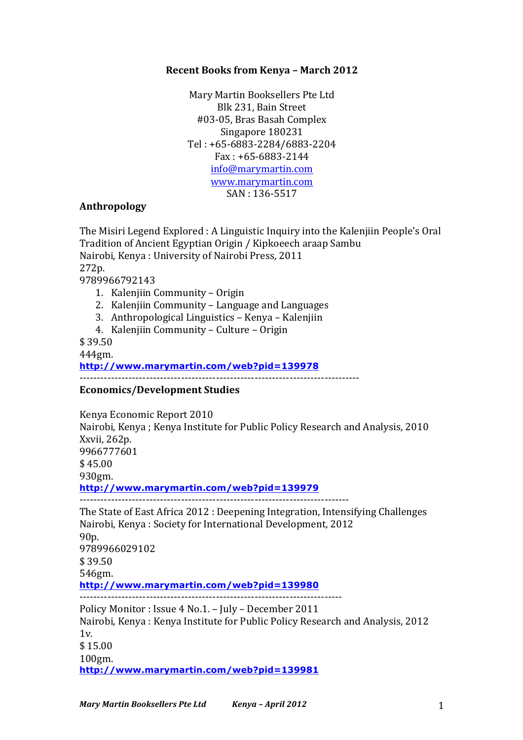## **Recent Books from Kenya - March 2012**

Mary Martin Booksellers Pte Ltd Blk 231, Bain Street #03-05, Bras Basah Complex Singapore 180231 Tel : +65-6883-2284/6883-2204  $Fax: +65-6883-2144$ info@marymartin.com www.marymartin.com SAN: 136-5517

## **Anthropology**

The Misiri Legend Explored : A Linguistic Inquiry into the Kalenjiin People's Oral Tradition of Ancient Egyptian Origin / Kipkoeech araap Sambu Nairobi, Kenya : University of Nairobi Press, 2011 272p. 9789966792143 1. Kalenjiin Community - Origin 2. Kalenjiin Community – Language and Languages 3. Anthropological Linguistics – Kenya – Kalenjiin 4. Kalenjiin Community - Culture - Origin \$ 39.50 444gm. **http://www.marymartin.com/web?pid=139978** -------------------------------------------------------------------------------- **Economics/Development Studies**

Kenya Economic Report 2010 Nairobi, Kenya; Kenya Institute for Public Policy Research and Analysis, 2010 Xxvii, 262p. 9966777601  $$45.00$ 930gm. **http://www.marymartin.com/web?pid=139979** -----------------------------------------------------------------------------

The State of East Africa 2012 : Deepening Integration, Intensifying Challenges Nairobi, Kenya : Society for International Development, 2012 90p. 9789966029102 \$ 39.50 546gm. **http://www.marymartin.com/web?pid=139980** --------------------------------------------------------------------------- Policy Monitor : Issue 4 No.1. - July - December 2011 Nairobi, Kenya : Kenya Institute for Public Policy Research and Analysis, 2012 1v. \$ 15.00 100gm.

**http://www.marymartin.com/web?pid=139981**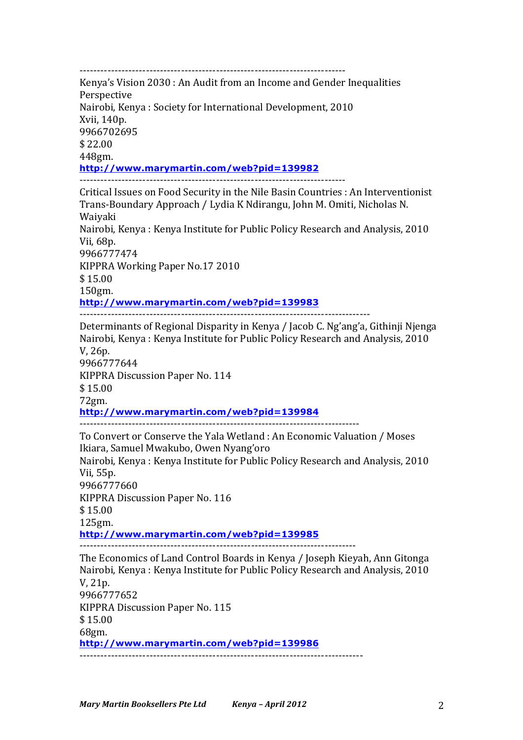---------------------------------------------------------------------------- Kenya's Vision 2030 : An Audit from an Income and Gender Inequalities Perspective Nairobi, Kenya : Society for International Development, 2010 Xvii, 140p. 9966702695 \$ 22.00 448gm. **http://www.marymartin.com/web?pid=139982** ----------------------------------------------------------------------------

Critical Issues on Food Security in the Nile Basin Countries : An Interventionist Trans-Boundary Approach / Lydia K Ndirangu, John M. Omiti, Nicholas N. Waiyaki Nairobi, Kenya: Kenya Institute for Public Policy Research and Analysis, 2010 Vii, 68p. 9966777474 KIPPRA Working Paper No.17 2010  $$15.00$ 150gm. **http://www.marymartin.com/web?pid=139983** -----------------------------------------------------------------------------------

Determinants of Regional Disparity in Kenya / Jacob C. Ng'ang'a, Githinji Njenga Nairobi, Kenya: Kenya Institute for Public Policy Research and Analysis, 2010 V, 26p. 9966777644 KIPPRA Discussion Paper No. 114 \$ 15.00 72gm. **http://www.marymartin.com/web?pid=139984** -------------------------------------------------------------------------------- To Convert or Conserve the Yala Wetland : An Economic Valuation / Moses

Ikiara, Samuel Mwakubo, Owen Nyang'oro Nairobi, Kenya: Kenya Institute for Public Policy Research and Analysis, 2010 Vii, 55p. 9966777660 KIPPRA Discussion Paper No. 116 \$ 15.00 125gm. **http://www.marymartin.com/web?pid=139985** -------------------------------------------------------------------------------

The Economics of Land Control Boards in Kenya / Joseph Kieyah, Ann Gitonga Nairobi, Kenya: Kenya Institute for Public Policy Research and Analysis, 2010 V, 21p. 9966777652 KIPPRA Discussion Paper No. 115 \$ 15.00 68gm. **http://www.marymartin.com/web?pid=139986** ---------------------------------------------------------------------------------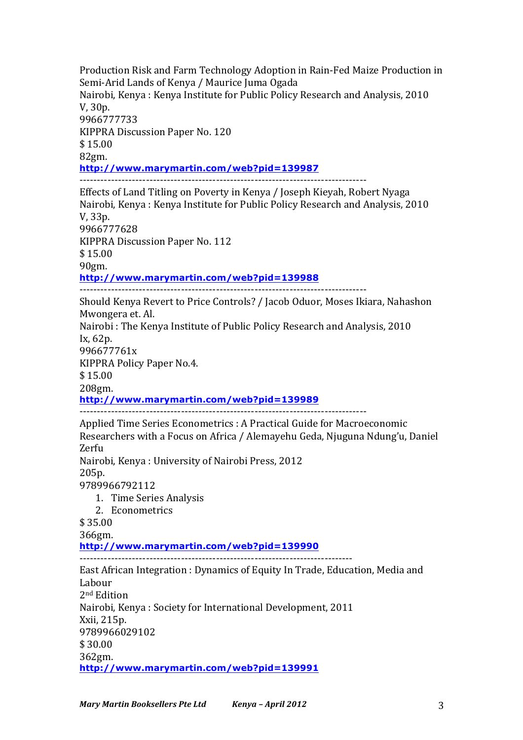Production Risk and Farm Technology Adoption in Rain-Fed Maize Production in Semi-Arid Lands of Kenya / Maurice Juma Ogada Nairobi, Kenya : Kenya Institute for Public Policy Research and Analysis, 2010 V, 30p. 9966777733 KIPPRA Discussion Paper No. 120  $$15.00$ 82gm. **http://www.marymartin.com/web?pid=139987** ----------------------------------------------------------------------------------

Effects of Land Titling on Poverty in Kenya / Joseph Kieyah, Robert Nyaga Nairobi, Kenya : Kenya Institute for Public Policy Research and Analysis, 2010 V, 33p. 9966777628 KIPPRA Discussion Paper No. 112 \$ 15.00 90gm. **http://www.marymartin.com/web?pid=139988** ----------------------------------------------------------------------------------

Should Kenya Revert to Price Controls? / Jacob Oduor, Moses Ikiara, Nahashon Mwongera et. Al. Nairobi: The Kenya Institute of Public Policy Research and Analysis, 2010 Ix, 62p. 996677761x KIPPRA Policy Paper No.4. \$ 15.00 208gm. **http://www.marymartin.com/web?pid=139989**  $-$ 

Applied Time Series Econometrics : A Practical Guide for Macroeconomic Researchers with a Focus on Africa / Alemayehu Geda, Njuguna Ndung'u, Daniel Zerfu Nairobi, Kenya: University of Nairobi Press, 2012 205p.

9789966792112

1. Time Series Analysis

2. Econometrics

\$ 35.00

366gm.

**http://www.marymartin.com/web?pid=139990**

------------------------------------------------------------------------------

East African Integration : Dynamics of Equity In Trade, Education, Media and Labour 2nd Edition Nairobi, Kenya: Society for International Development, 2011 Xxii, 215p. 9789966029102 \$ 30.00 362gm. **http://www.marymartin.com/web?pid=139991**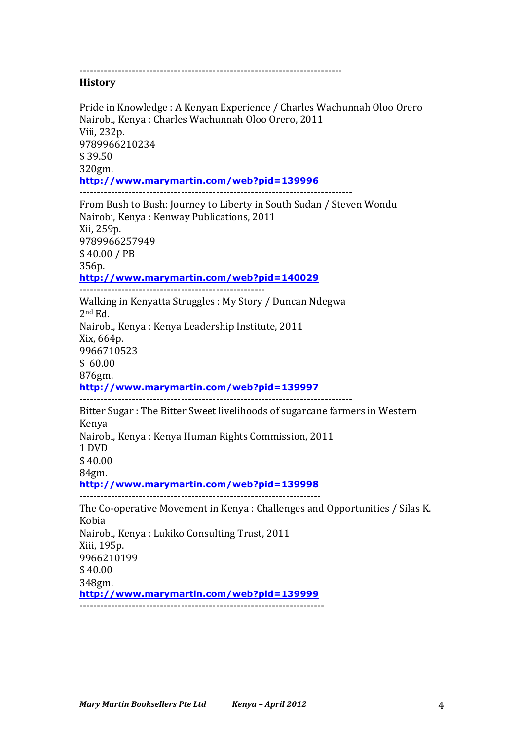---------------------------------------------------------------------------

#### **History**

Pride in Knowledge : A Kenyan Experience / Charles Wachunnah Oloo Orero Nairobi, Kenya : Charles Wachunnah Oloo Orero, 2011 Viii, 232p. 9789966210234 \$ 39.50 320gm. **http://www.marymartin.com/web?pid=139996** ------------------------------------------------------------------------------ From Bush to Bush: Journey to Liberty in South Sudan / Steven Wondu Nairobi, Kenya : Kenway Publications, 2011 Xii, 259p. 9789966257949 \$ 40.00 / PB 356p. **http://www.marymartin.com/web?pid=140029** Walking in Kenyatta Struggles : My Story / Duncan Ndegwa 2nd Ed. Nairobi, Kenya : Kenya Leadership Institute, 2011 Xix, 664p. 9966710523  $$60.00$ 876gm. **http://www.marymartin.com/web?pid=139997** ------------------------------------------------------------------------------ Bitter Sugar: The Bitter Sweet livelihoods of sugarcane farmers in Western Kenya Nairobi, Kenya : Kenya Human Rights Commission, 2011 1 DVD \$ 40.00 84gm. **http://www.marymartin.com/web?pid=139998** --------------------------------------------------------------------- The Co-operative Movement in Kenya : Challenges and Opportunities / Silas K. Kobia Nairobi, Kenya : Lukiko Consulting Trust, 2011 Xiii, 195p. 9966210199  $$40.00$ 348gm. **http://www.marymartin.com/web?pid=139999**  $-$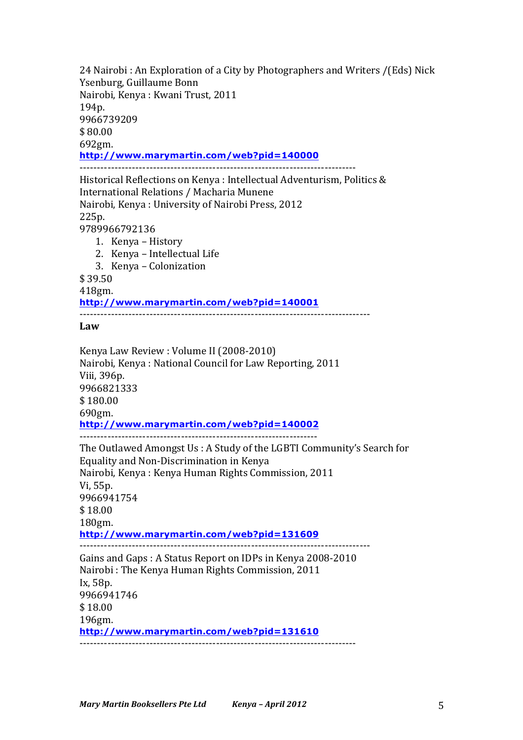24 Nairobi: An Exploration of a City by Photographers and Writers /(Eds) Nick Ysenburg, Guillaume Bonn Nairobi, Kenya: Kwani Trust, 2011 194p. 9966739209 \$ 80.00 692gm. **http://www.marymartin.com/web?pid=140000** -------------------------------------------------------------------------------

Historical Reflections on Kenya : Intellectual Adventurism, Politics & International Relations / Macharia Munene Nairobi, Kenya : University of Nairobi Press, 2012 225p. 9789966792136

- 1. Kenya History
	- 2. Kenya Intellectual Life
	- 3. Kenya Colonization

\$ 39.50

418gm.

**http://www.marymartin.com/web?pid=140001**

-----------------------------------------------------------------------------------

### **Law**

Kenya Law Review : Volume II (2008-2010) Nairobi, Kenya : National Council for Law Reporting, 2011 Viii, 396p. 9966821333  $$180.00$ 690gm. **http://www.marymartin.com/web?pid=140002** -------------------------------------------------------------------- The Outlawed Amongst Us : A Study of the LGBTI Community's Search for Equality and Non-Discrimination in Kenya Nairobi, Kenya : Kenya Human Rights Commission, 2011 Vi, 55p. 9966941754 \$ 18.00 180gm. **http://www.marymartin.com/web?pid=131609** ----------------------------------------------------------------------------------- Gains and Gaps: A Status Report on IDPs in Kenya 2008-2010 Nairobi: The Kenya Human Rights Commission, 2011 Ix, 58p. 9966941746 \$ 18.00 196gm. **http://www.marymartin.com/web?pid=131610** -------------------------------------------------------------------------------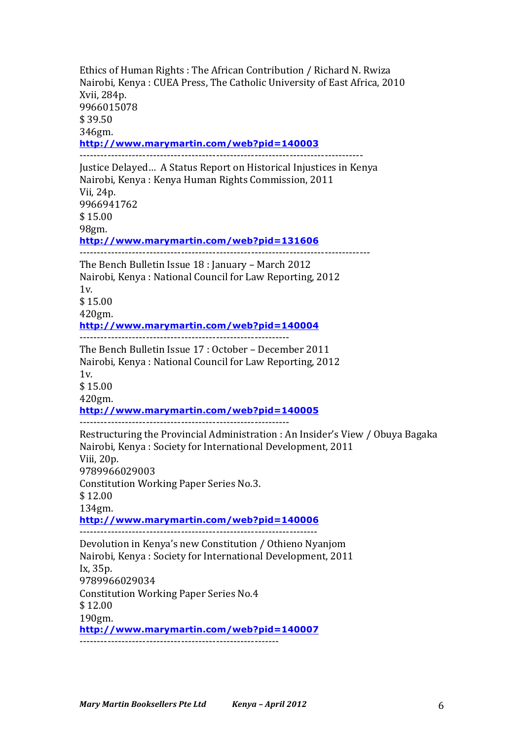Ethics of Human Rights : The African Contribution / Richard N. Rwiza Nairobi, Kenya: CUEA Press, The Catholic University of East Africa, 2010 Xvii, 284p. 9966015078 \$ 39.50 346gm. **http://www.marymartin.com/web?pid=140003** --------------------------------------------------------------------------------- Justice Delayed ... A Status Report on Historical Injustices in Kenya Nairobi, Kenya : Kenya Human Rights Commission, 2011 Vii, 24p. 9966941762 \$ 15.00 98gm. **http://www.marymartin.com/web?pid=131606** ----------------------------------------------------------------------------------- The Bench Bulletin Issue 18 : January – March 2012 Nairobi, Kenya : National Council for Law Reporting, 2012  $1v$  $$15.00$ 420gm. **http://www.marymartin.com/web?pid=140004** ------------------------------------------------------------ The Bench Bulletin Issue 17 : October - December 2011 Nairobi, Kenya : National Council for Law Reporting, 2012  $1v<sub>l</sub>$ \$ 15.00 420gm. **http://www.marymartin.com/web?pid=140005** ------------------------------------------------------------ Restructuring the Provincial Administration : An Insider's View / Obuya Bagaka Nairobi, Kenya : Society for International Development, 2011 Viii, 20p. 9789966029003 Constitution Working Paper Series No.3. \$ 12.00 134gm. **http://www.marymartin.com/web?pid=140006** -------------------------------------------------------------------- Devolution in Kenya's new Constitution / Othieno Nyanjom Nairobi, Kenya : Society for International Development, 2011 Ix, 35p. 9789966029034 Constitution Working Paper Series No.4 \$ 12.00 190gm. **http://www.marymartin.com/web?pid=140007**

---------------------------------------------------------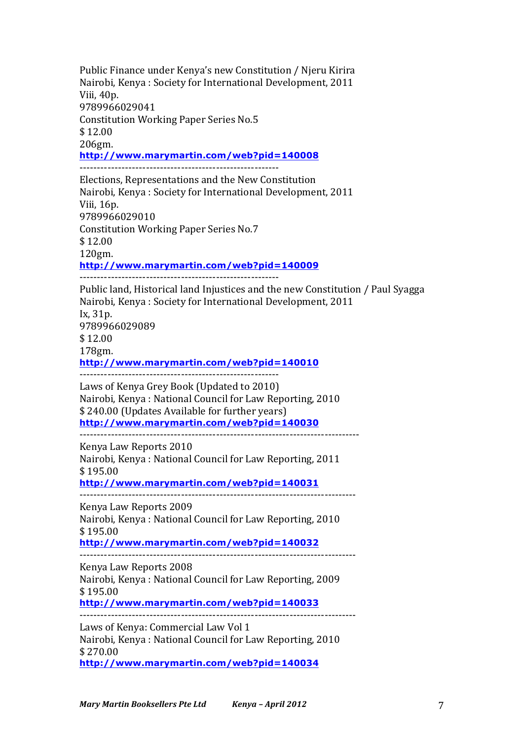Public Finance under Kenya's new Constitution / Njeru Kirira Nairobi, Kenya : Society for International Development, 2011 Viii, 40p. 9789966029041 Constitution Working Paper Series No.5 \$ 12.00 206gm. **http://www.marymartin.com/web?pid=140008** --------------------------------------------------------- Elections, Representations and the New Constitution Nairobi, Kenya : Society for International Development, 2011 Viii, 16p. 9789966029010 Constitution Working Paper Series No.7 \$ 12.00 120gm. **http://www.marymartin.com/web?pid=140009** --------------------------------------------------------- Public land, Historical land Injustices and the new Constitution / Paul Syagga Nairobi, Kenya : Society for International Development, 2011 Ix, 31p. 9789966029089  $$12.00$ 178gm. **http://www.marymartin.com/web?pid=140010** --------------------------------------------------------- Laws of Kenya Grey Book (Updated to 2010) Nairobi, Kenya : National Council for Law Reporting, 2010 \$240.00 (Updates Available for further years) **http://www.marymartin.com/web?pid=140030** -------------------------------------------------------------------------------- Kenya Law Reports 2010 Nairobi, Kenya : National Council for Law Reporting, 2011  $$195.00$ **http://www.marymartin.com/web?pid=140031** ------------------------------------------------------------------------------- Kenya Law Reports 2009 Nairobi, Kenya : National Council for Law Reporting, 2010 \$ 195.00 **http://www.marymartin.com/web?pid=140032** ------------------------------------------------------------------------------- Kenya Law Reports 2008 Nairobi, Kenya : National Council for Law Reporting, 2009  $$195.00$ **http://www.marymartin.com/web?pid=140033**

------------------------------------------------------------------------------- Laws of Kenya: Commercial Law Vol 1 Nairobi, Kenya : National Council for Law Reporting, 2010 \$ 270.00 **http://www.marymartin.com/web?pid=140034**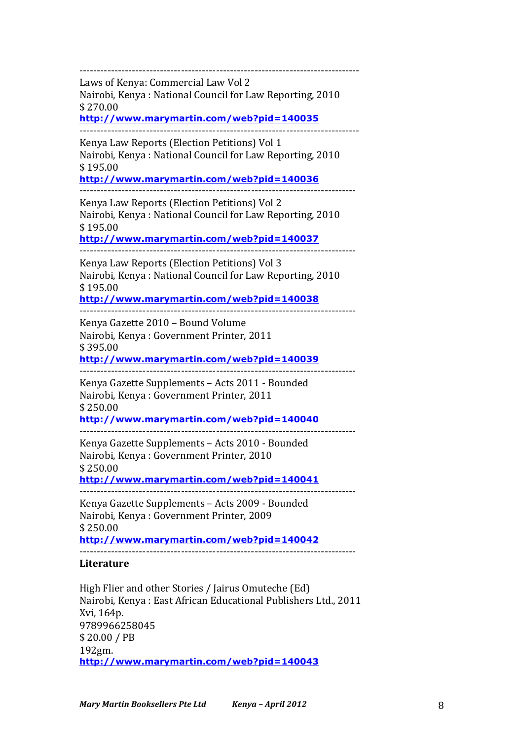-------------------------------------------------------------------------------- Laws of Kenya: Commercial Law Vol 2 Nairobi, Kenya : National Council for Law Reporting, 2010 \$ 270.00 **http://www.marymartin.com/web?pid=140035** -------------------------------------------------------------------------------- Kenya Law Reports (Election Petitions) Vol 1 Nairobi, Kenya : National Council for Law Reporting, 2010 \$ 195.00 **http://www.marymartin.com/web?pid=140036** ------------------------------------------------------------------------------- Kenya Law Reports (Election Petitions) Vol 2 Nairobi, Kenya : National Council for Law Reporting, 2010 \$ 195.00 **http://www.marymartin.com/web?pid=140037** ------------------------------------------------------------------------------- Kenya Law Reports (Election Petitions) Vol 3 Nairobi, Kenya : National Council for Law Reporting, 2010 \$ 195.00 **http://www.marymartin.com/web?pid=140038** ------------------------------------------------------------------------------- Kenya Gazette 2010 - Bound Volume Nairobi, Kenya : Government Printer, 2011 \$ 395.00 **http://www.marymartin.com/web?pid=140039** ------------------------------------------------------------------------------- Kenya Gazette Supplements - Acts 2011 - Bounded Nairobi, Kenya: Government Printer, 2011 \$ 250.00 **http://www.marymartin.com/web?pid=140040** ------------------------------------------------------------------------------- Kenya Gazette Supplements - Acts 2010 - Bounded Nairobi, Kenya: Government Printer, 2010 \$ 250.00 **http://www.marymartin.com/web?pid=140041** ------------------------------------------------------------------------------- Kenya Gazette Supplements - Acts 2009 - Bounded Nairobi, Kenya : Government Printer, 2009 \$ 250.00 **http://www.marymartin.com/web?pid=140042** ------------------------------------------------------------------------------- **Literature** High Flier and other Stories / Jairus Omuteche (Ed) Nairobi, Kenya : East African Educational Publishers Ltd., 2011 Xvi, 164p. 9789966258045

**http://www.marymartin.com/web?pid=140043**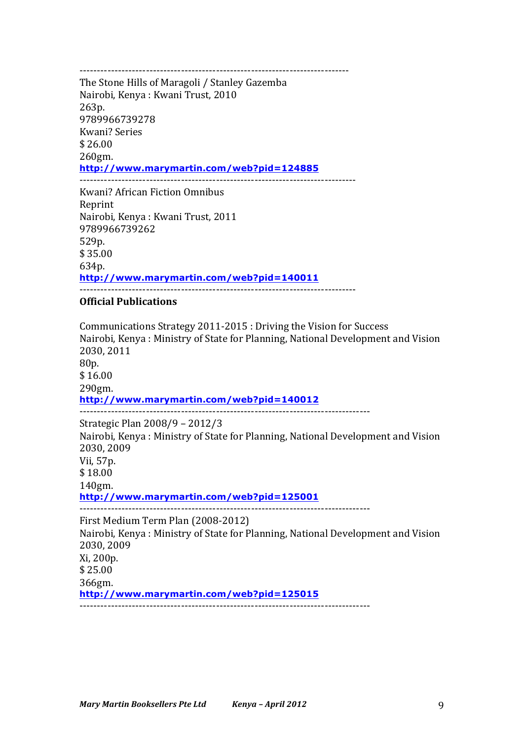-----------------------------------------------------------------------------

The Stone Hills of Maragoli / Stanley Gazemba Nairobi, Kenya: Kwani Trust, 2010 263p. 9789966739278 Kwani? Series  $$26.00$ 260gm. **http://www.marymartin.com/web?pid=124885** -------------------------------------------------------------------------------

Kwani? African Fiction Omnibus Reprint Nairobi, Kenya: Kwani Trust, 2011 9789966739262 529p. \$ 35.00 634p. **http://www.marymartin.com/web?pid=140011**

-------------------------------------------------------------------------------

## **Official Publications**

Communications Strategy 2011-2015 : Driving the Vision for Success Nairobi, Kenya : Ministry of State for Planning, National Development and Vision 2030, 2011 80p. \$ 16.00 290gm. **http://www.marymartin.com/web?pid=140012** ----------------------------------------------------------------------------------- Strategic Plan 2008/9 - 2012/3 Nairobi, Kenya : Ministry of State for Planning, National Development and Vision 2030, 2009 Vii, 57p. \$ 18.00 140gm. **http://www.marymartin.com/web?pid=125001** ----------------------------------------------------------------------------------- First Medium Term Plan (2008-2012) Nairobi, Kenya : Ministry of State for Planning, National Development and Vision 2030, 2009 Xi, 200p. \$ 25.00 366gm. **http://www.marymartin.com/web?pid=125015**  $-$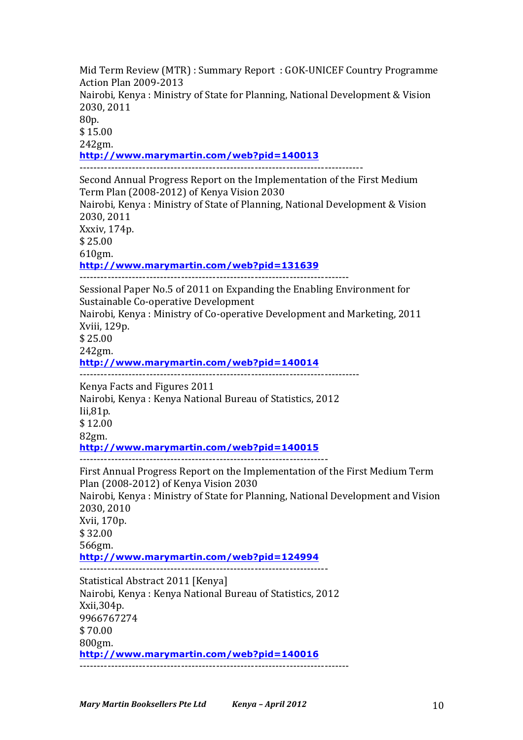Mid Term Review (MTR) : Summary Report : GOK-UNICEF Country Programme Action Plan 2009-2013 Nairobi, Kenya : Ministry of State for Planning, National Development & Vision 2030, 2011 80p. \$ 15.00 242gm. **http://www.marymartin.com/web?pid=140013** --------------------------------------------------------------------------------- Second Annual Progress Report on the Implementation of the First Medium Term Plan (2008-2012) of Kenya Vision 2030 Nairobi, Kenya : Ministry of State of Planning, National Development & Vision 2030, 2011 Xxxiv, 174p. \$ 25.00 610gm. **http://www.marymartin.com/web?pid=131639** ----------------------------------------------------------------------------- Sessional Paper No.5 of 2011 on Expanding the Enabling Environment for Sustainable Co-operative Development Nairobi, Kenya : Ministry of Co-operative Development and Marketing, 2011 Xviii, 129p. \$ 25.00 242gm. **http://www.marymartin.com/web?pid=140014** -------------------------------------------------------------------------------- Kenya Facts and Figures 2011 Nairobi, Kenya : Kenya National Bureau of Statistics, 2012 Iii,81p. \$ 12.00 82gm. **http://www.marymartin.com/web?pid=140015** ----------------------------------------------------------------------- First Annual Progress Report on the Implementation of the First Medium Term Plan (2008-2012) of Kenya Vision 2030 Nairobi, Kenya : Ministry of State for Planning, National Development and Vision 2030, 2010 Xvii, 170p. \$ 32.00 566gm. **http://www.marymartin.com/web?pid=124994** ----------------------------------------------------------------------- Statistical Abstract 2011 [Kenya] Nairobi, Kenya : Kenya National Bureau of Statistics, 2012 Xxii,304p. 9966767274 \$ 70.00 800gm. **http://www.marymartin.com/web?pid=140016** -----------------------------------------------------------------------------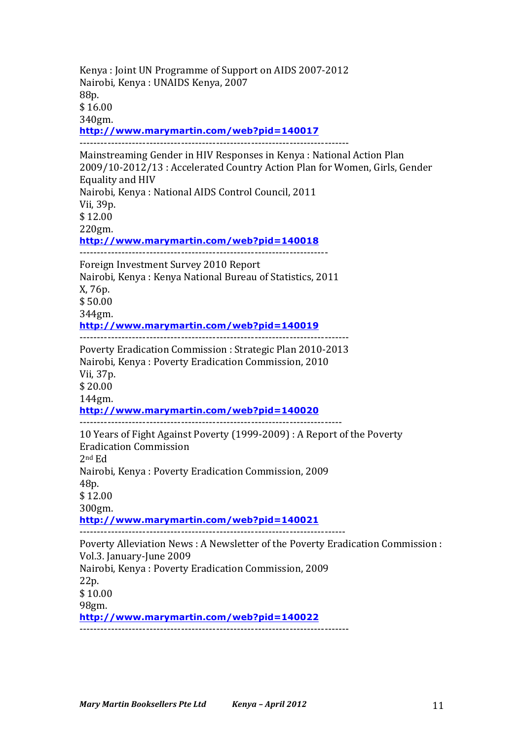Kenya : Joint UN Programme of Support on AIDS 2007-2012 Nairobi, Kenya: UNAIDS Kenya, 2007 88p. \$ 16.00 340gm. **http://www.marymartin.com/web?pid=140017** ----------------------------------------------------------------------------- Mainstreaming Gender in HIV Responses in Kenya : National Action Plan 2009/10-2012/13 : Accelerated Country Action Plan for Women, Girls, Gender Equality and HIV Nairobi, Kenya : National AIDS Control Council, 2011 Vii, 39p. \$ 12.00 220gm. **http://www.marymartin.com/web?pid=140018** ----------------------------------------------------------------------- Foreign Investment Survey 2010 Report Nairobi, Kenya : Kenya National Bureau of Statistics, 2011 X, 76p. \$ 50.00 344gm. **http://www.marymartin.com/web?pid=140019** Poverty Eradication Commission : Strategic Plan 2010-2013 Nairobi, Kenya : Poverty Eradication Commission, 2010 Vii, 37p. \$ 20.00 144gm. **http://www.marymartin.com/web?pid=140020** --------------------------------------------------------------------------- 10 Years of Fight Against Poverty (1999-2009) : A Report of the Poverty Eradication Commission 2nd Ed Nairobi, Kenya : Poverty Eradication Commission, 2009 48p. \$ 12.00 300gm. **http://www.marymartin.com/web?pid=140021** ---------------------------------------------------------------------------- Poverty Alleviation News : A Newsletter of the Poverty Eradication Commission : Vol.3. January-June 2009 Nairobi, Kenya: Poverty Eradication Commission, 2009 22p. \$ 10.00 98gm. **http://www.marymartin.com/web?pid=140022**

-----------------------------------------------------------------------------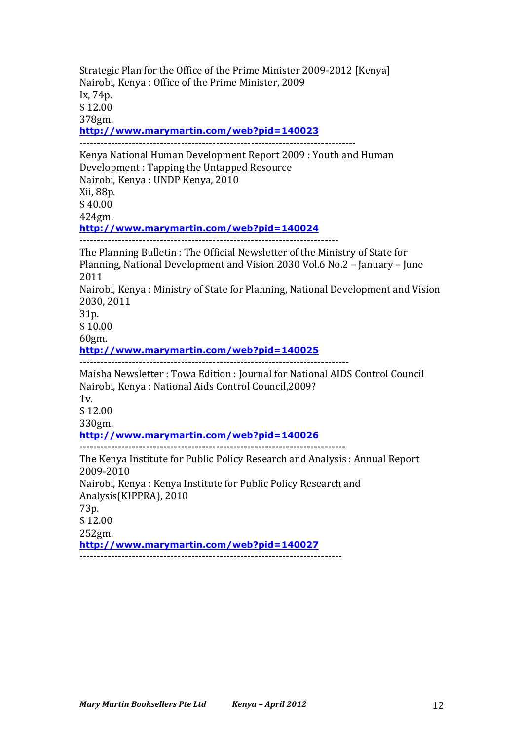Strategic Plan for the Office of the Prime Minister 2009-2012 [Kenya] Nairobi, Kenya: Office of the Prime Minister, 2009 Ix, 74p. \$ 12.00 378gm. **http://www.marymartin.com/web?pid=140023** ------------------------------------------------------------------------------- Kenya National Human Development Report 2009 : Youth and Human Development : Tapping the Untapped Resource Nairobi, Kenya : UNDP Kenya, 2010 Xii, 88p. \$ 40.00 424gm. **http://www.marymartin.com/web?pid=140024** -------------------------------------------------------------------------- The Planning Bulletin : The Official Newsletter of the Ministry of State for Planning, National Development and Vision 2030 Vol.6 No.2 – January – June 2011 Nairobi, Kenya : Ministry of State for Planning, National Development and Vision 2030, 2011 31p. \$ 10.00 60gm. **http://www.marymartin.com/web?pid=140025** ----------------------------------------------------------------------------- Maisha Newsletter : Towa Edition : Journal for National AIDS Control Council Nairobi, Kenya : National Aids Control Council, 2009? 1v.  $$12.00$ 330gm. **http://www.marymartin.com/web?pid=140026** ---------------------------------------------------------------------------- The Kenya Institute for Public Policy Research and Analysis : Annual Report 2009-2010 Nairobi, Kenya : Kenya Institute for Public Policy Research and Analysis(KIPPRA), 2010 73p. \$ 12.00 252gm. **http://www.marymartin.com/web?pid=140027**